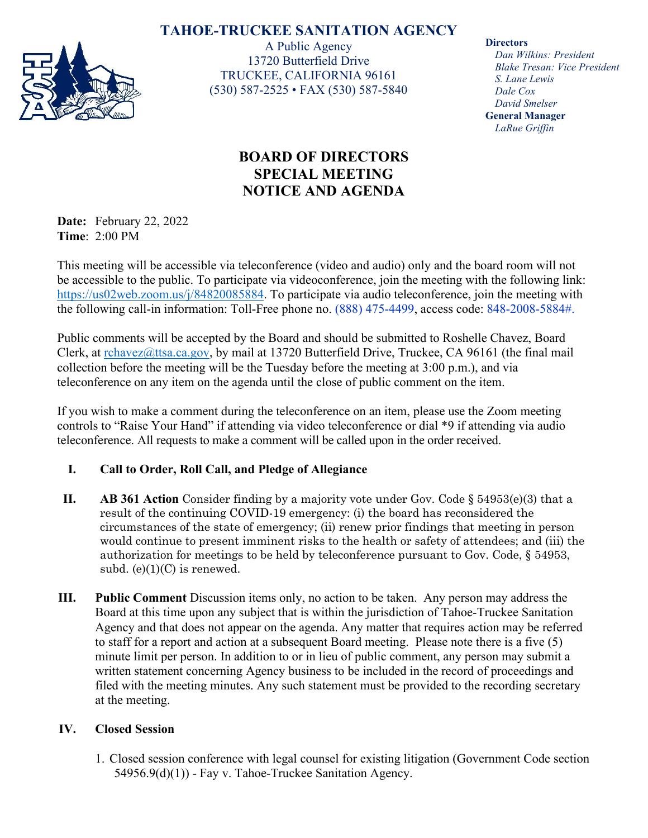# **TAHOE-TRUCKEE SANITATION AGENCY**



A Public Agency 13720 Butterfield Drive TRUCKEE, CALIFORNIA 96161 (530) 587-2525 • FAX (530) 587-5840

#### **Directors**

*Dan Wilkins: President Blake Tresan: Vice President S. Lane Lewis Dale Cox David Smelser* **General Manager** *LaRue Griffin*

# **BOARD OF DIRECTORS SPECIAL MEETING NOTICE AND AGENDA**

**Date:** February 22, 2022 **Time**: 2:00 PM

This meeting will be accessible via teleconference (video and audio) only and the board room will not be accessible to the public. To participate via videoconference, join the meeting with the following link: [https://us02web.zoom.us/j/84820085884.](https://us02web.zoom.us/j/84820085884) To participate via audio teleconference, join the meeting with the following call-in information: Toll-Free phone no. (888) 475-4499, access code: 848-2008-5884#.

Public comments will be accepted by the Board and should be submitted to Roshelle Chavez, Board Clerk, at [rchavez@ttsa.c](mailto:rchavez@ttsa.)a.gov, by mail at 13720 Butterfield Drive, Truckee, CA 96161 (the final mail collection before the meeting will be the Tuesday before the meeting at 3:00 p.m.), and via teleconference on any item on the agenda until the close of public comment on the item.

If you wish to make a comment during the teleconference on an item, please use the Zoom meeting controls to "Raise Your Hand" if attending via video teleconference or dial \*9 if attending via audio teleconference. All requests to make a comment will be called upon in the order received.

## **I. Call to Order, Roll Call, and Pledge of Allegiance**

- **II. AB 361 Action** Consider finding by a majority vote under Gov. Code § 54953(e)(3) that a result of the continuing COVID-19 emergency: (i) the board has reconsidered the circumstances of the state of emergency; (ii) renew prior findings that meeting in person would continue to present imminent risks to the health or safety of attendees; and (iii) the authorization for meetings to be held by teleconference pursuant to Gov. Code, § 54953, subd.  $(e)(1)(C)$  is renewed.
- **III. Public Comment** Discussion items only, no action to be taken. Any person may address the Board at this time upon any subject that is within the jurisdiction of Tahoe-Truckee Sanitation Agency and that does not appear on the agenda. Any matter that requires action may be referred to staff for a report and action at a subsequent Board meeting. Please note there is a five (5) minute limit per person. In addition to or in lieu of public comment, any person may submit a written statement concerning Agency business to be included in the record of proceedings and filed with the meeting minutes. Any such statement must be provided to the recording secretary at the meeting.

## **IV. Closed Session**

1. Closed session conference with legal counsel for existing litigation (Government Code section 54956.9(d)(1)) - Fay v. Tahoe-Truckee Sanitation Agency.